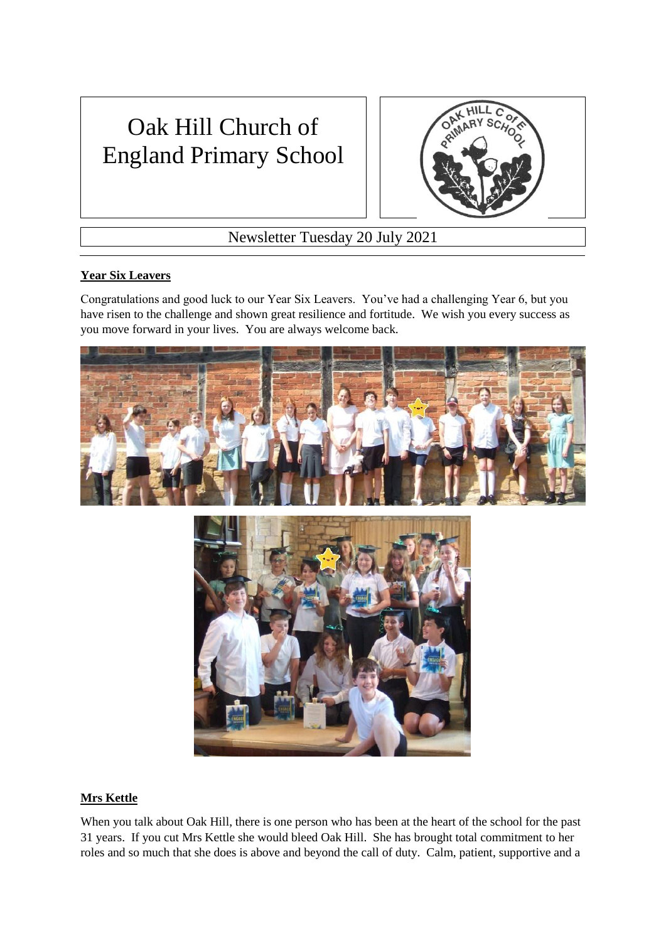## Oak Hill Church of England Primary School



Newsletter Tuesday 20 July 2021

## **Year Six Leavers**

Congratulations and good luck to our Year Six Leavers. You've had a challenging Year 6, but you have risen to the challenge and shown great resilience and fortitude. We wish you every success as you move forward in your lives. You are always welcome back.



## **Mrs Kettle**

When you talk about Oak Hill, there is one person who has been at the heart of the school for the past 31 years. If you cut Mrs Kettle she would bleed Oak Hill. She has brought total commitment to her roles and so much that she does is above and beyond the call of duty. Calm, patient, supportive and a